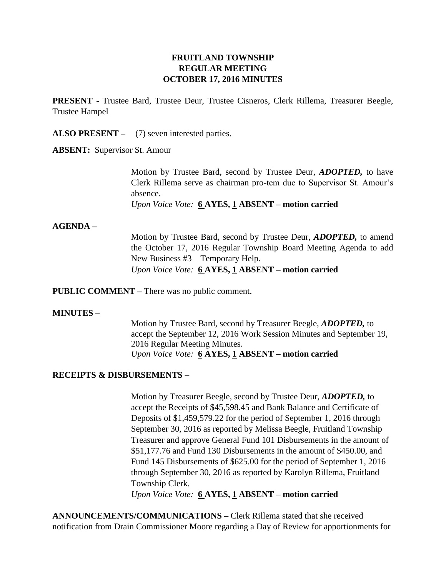## **FRUITLAND TOWNSHIP REGULAR MEETING OCTOBER 17, 2016 MINUTES**

**PRESENT -** Trustee Bard, Trustee Deur, Trustee Cisneros, Clerk Rillema, Treasurer Beegle, Trustee Hampel

**ALSO PRESENT –** (7) seven interested parties.

**ABSENT:** Supervisor St. Amour

Motion by Trustee Bard, second by Trustee Deur, *ADOPTED,* to have Clerk Rillema serve as chairman pro-tem due to Supervisor St. Amour's absence.

*Upon Voice Vote:* **6 AYES, 1 ABSENT – motion carried**

### **AGENDA –**

Motion by Trustee Bard, second by Trustee Deur, *ADOPTED,* to amend the October 17, 2016 Regular Township Board Meeting Agenda to add New Business #3 – Temporary Help. *Upon Voice Vote:* **6 AYES, 1 ABSENT – motion carried**

**PUBLIC COMMENT –** There was no public comment.

### **MINUTES –**

Motion by Trustee Bard, second by Treasurer Beegle, *ADOPTED,* to accept the September 12, 2016 Work Session Minutes and September 19, 2016 Regular Meeting Minutes. *Upon Voice Vote:* **6 AYES, 1 ABSENT – motion carried**

### **RECEIPTS & DISBURSEMENTS –**

Motion by Treasurer Beegle, second by Trustee Deur, *ADOPTED,* to accept the Receipts of \$45,598.45 and Bank Balance and Certificate of Deposits of \$1,459,579.22 for the period of September 1, 2016 through September 30, 2016 as reported by Melissa Beegle, Fruitland Township Treasurer and approve General Fund 101 Disbursements in the amount of \$51,177.76 and Fund 130 Disbursements in the amount of \$450.00, and Fund 145 Disbursements of \$625.00 for the period of September 1, 2016 through September 30, 2016 as reported by Karolyn Rillema, Fruitland Township Clerk.

*Upon Voice Vote:* **6 AYES, 1 ABSENT – motion carried**

**ANNOUNCEMENTS/COMMUNICATIONS –** Clerk Rillema stated that she received notification from Drain Commissioner Moore regarding a Day of Review for apportionments for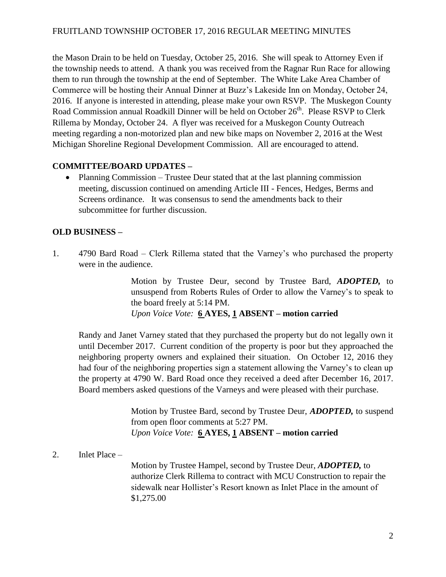the Mason Drain to be held on Tuesday, October 25, 2016. She will speak to Attorney Even if the township needs to attend. A thank you was received from the Ragnar Run Race for allowing them to run through the township at the end of September. The White Lake Area Chamber of Commerce will be hosting their Annual Dinner at Buzz's Lakeside Inn on Monday, October 24, 2016. If anyone is interested in attending, please make your own RSVP. The Muskegon County Road Commission annual Roadkill Dinner will be held on October 26<sup>th</sup>. Please RSVP to Clerk Rillema by Monday, October 24. A flyer was received for a Muskegon County Outreach meeting regarding a non-motorized plan and new bike maps on November 2, 2016 at the West Michigan Shoreline Regional Development Commission. All are encouraged to attend.

# **COMMITTEE/BOARD UPDATES –**

• Planning Commission – Trustee Deur stated that at the last planning commission meeting, discussion continued on amending Article III - Fences, Hedges, Berms and Screens ordinance. It was consensus to send the amendments back to their subcommittee for further discussion.

## **OLD BUSINESS –**

1. 4790 Bard Road – Clerk Rillema stated that the Varney's who purchased the property were in the audience.

> Motion by Trustee Deur, second by Trustee Bard, *ADOPTED,* to unsuspend from Roberts Rules of Order to allow the Varney's to speak to the board freely at 5:14 PM. *Upon Voice Vote:* **6 AYES, 1 ABSENT – motion carried**

Randy and Janet Varney stated that they purchased the property but do not legally own it until December 2017. Current condition of the property is poor but they approached the neighboring property owners and explained their situation. On October 12, 2016 they had four of the neighboring properties sign a statement allowing the Varney's to clean up the property at 4790 W. Bard Road once they received a deed after December 16, 2017. Board members asked questions of the Varneys and were pleased with their purchase.

> Motion by Trustee Bard, second by Trustee Deur, *ADOPTED,* to suspend from open floor comments at 5:27 PM. *Upon Voice Vote:* **6 AYES, 1 ABSENT – motion carried**

## 2. Inlet Place –

Motion by Trustee Hampel, second by Trustee Deur, *ADOPTED,* to authorize Clerk Rillema to contract with MCU Construction to repair the sidewalk near Hollister's Resort known as Inlet Place in the amount of \$1,275.00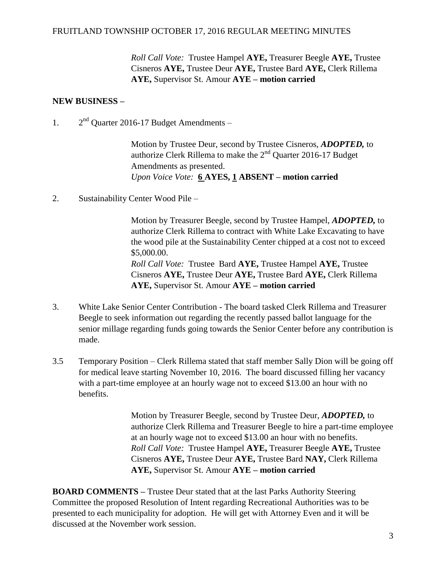*Roll Call Vote:* Trustee Hampel **AYE,** Treasurer Beegle **AYE,** Trustee Cisneros **AYE,** Trustee Deur **AYE,** Trustee Bard **AYE,** Clerk Rillema **AYE,** Supervisor St. Amour **AYE – motion carried**

## **NEW BUSINESS –**

 $1<sup>2</sup>$  $2<sup>nd</sup>$  Quarter 2016-17 Budget Amendments –

> Motion by Trustee Deur, second by Trustee Cisneros, *ADOPTED,* to authorize Clerk Rillema to make the 2nd Quarter 2016-17 Budget Amendments as presented. *Upon Voice Vote:* **6 AYES, 1 ABSENT – motion carried**

2. Sustainability Center Wood Pile –

Motion by Treasurer Beegle, second by Trustee Hampel, *ADOPTED,* to authorize Clerk Rillema to contract with White Lake Excavating to have the wood pile at the Sustainability Center chipped at a cost not to exceed \$5,000.00. *Roll Call Vote:* Trustee Bard **AYE,** Trustee Hampel **AYE,** Trustee Cisneros **AYE,** Trustee Deur **AYE,** Trustee Bard **AYE,** Clerk Rillema **AYE,** Supervisor St. Amour **AYE – motion carried**

- 3. White Lake Senior Center Contribution The board tasked Clerk Rillema and Treasurer Beegle to seek information out regarding the recently passed ballot language for the senior millage regarding funds going towards the Senior Center before any contribution is made.
- 3.5 Temporary Position Clerk Rillema stated that staff member Sally Dion will be going off for medical leave starting November 10, 2016. The board discussed filling her vacancy with a part-time employee at an hourly wage not to exceed \$13.00 an hour with no benefits.

Motion by Treasurer Beegle, second by Trustee Deur, *ADOPTED,* to authorize Clerk Rillema and Treasurer Beegle to hire a part-time employee at an hourly wage not to exceed \$13.00 an hour with no benefits. *Roll Call Vote:* Trustee Hampel **AYE,** Treasurer Beegle **AYE,** Trustee Cisneros **AYE,** Trustee Deur **AYE,** Trustee Bard **NAY,** Clerk Rillema **AYE,** Supervisor St. Amour **AYE – motion carried**

**BOARD COMMENTS –** Trustee Deur stated that at the last Parks Authority Steering Committee the proposed Resolution of Intent regarding Recreational Authorities was to be presented to each municipality for adoption. He will get with Attorney Even and it will be discussed at the November work session.